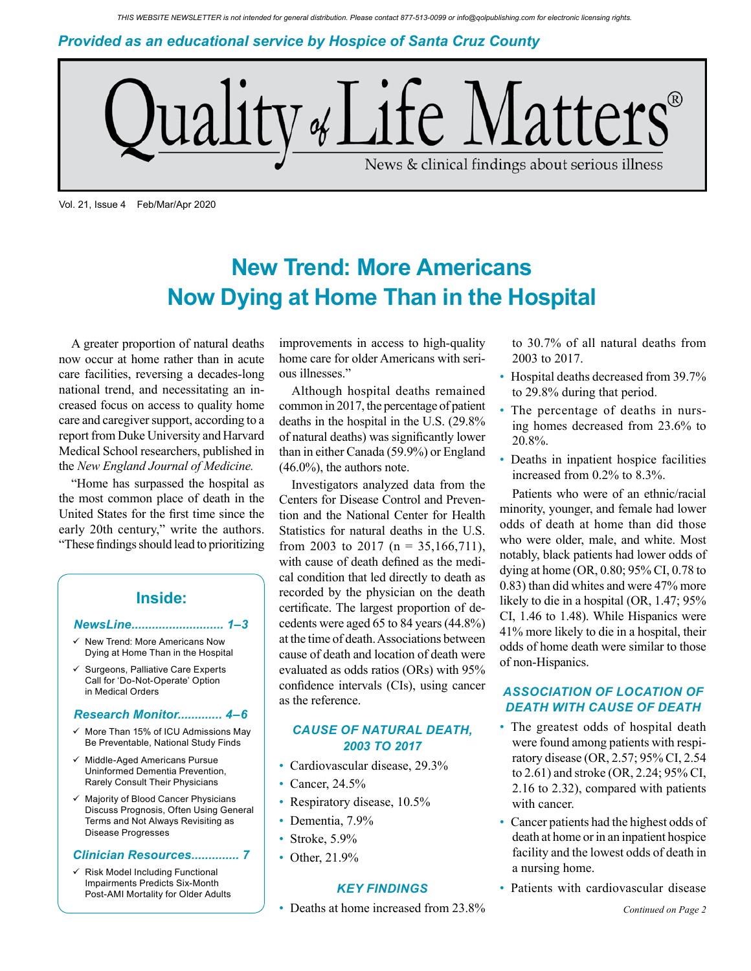*Provided as an educational service by Hospice of Santa Cruz County*



Vol. 21, Issue 4 Feb/Mar/Apr 2020

# **New Trend: More Americans Now Dying at Home Than in the Hospital**

A greater proportion of natural deaths now occur at home rather than in acute care facilities, reversing a decades-long national trend, and necessitating an increased focus on access to quality home care and caregiver support, according to a report from Duke University and Harvard Medical School researchers, published in the *New England Journal of Medicine.*

"Home has surpassed the hospital as the most common place of death in the United States for the first time since the early 20th century," write the authors. "These findings should lead to prioritizing

### **Inside:**

#### *NewsLine........................... 1–3*

- New Trend: More Americans Now Dying at Home Than in the Hospital
- Surgeons, Palliative Care Experts Call for 'Do-Not-Operate' Option in Medical Orders

#### *Research Monitor............. 4–6*

- $\checkmark$  More Than 15% of ICU Admissions May Be Preventable, National Study Finds
- $\checkmark$  Middle-Aged Americans Pursue Uninformed Dementia Prevention, Rarely Consult Their Physicians
- $\checkmark$  Majority of Blood Cancer Physicians Discuss Prognosis, Often Using General Terms and Not Always Revisiting as Disease Progresses

#### *Clinician Resources.............. 7*

 $\checkmark$  Risk Model Including Functional Impairments Predicts Six-Month Post-AMI Mortality for Older Adults

improvements in access to high-quality home care for older Americans with serious illnesses."

Although hospital deaths remained common in 2017, the percentage of patient deaths in the hospital in the U.S. (29.8% of natural deaths) was significantly lower than in either Canada (59.9%) or England (46.0%), the authors note.

Investigators analyzed data from the Centers for Disease Control and Prevention and the National Center for Health Statistics for natural deaths in the U.S. from 2003 to 2017 (n = 35,166,711), with cause of death defined as the medical condition that led directly to death as recorded by the physician on the death certificate. The largest proportion of decedents were aged 65 to 84 years (44.8%) at the time of death. Associations between cause of death and location of death were evaluated as odds ratios (ORs) with 95% confidence intervals (CIs), using cancer as the reference.

### *CAUSE OF NATURAL DEATH, 2003 TO 2017*

- Cardiovascular disease, 29.3%
- Cancer, 24.5%
- Respiratory disease, 10.5%
- Dementia, 7.9%
- Stroke, 5.9%
- Other, 21.9%

### *KEY FINDINGS*

• Deaths at home increased from 23.8%

to 30.7% of all natural deaths from 2003 to 2017.

- Hospital deaths decreased from 39.7% to 29.8% during that period.
- The percentage of deaths in nursing homes decreased from 23.6% to 20.8%.
- Deaths in inpatient hospice facilities increased from 0.2% to 8.3%.

Patients who were of an ethnic/racial minority, younger, and female had lower odds of death at home than did those who were older, male, and white. Most notably, black patients had lower odds of dying at home (OR, 0.80; 95% CI, 0.78 to 0.83) than did whites and were 47% more likely to die in a hospital (OR, 1.47; 95% CI, 1.46 to 1.48). While Hispanics were 41% more likely to die in a hospital, their odds of home death were similar to those of non-Hispanics.

### *ASSOCIATION OF LOCATION OF DEATH WITH CAUSE OF DEATH*

- The greatest odds of hospital death were found among patients with respiratory disease (OR, 2.57; 95% CI, 2.54 to 2.61) and stroke (OR, 2.24; 95% CI, 2.16 to 2.32), compared with patients with cancer.
- Cancer patients had the highest odds of death at home or in an inpatient hospice facility and the lowest odds of death in a nursing home.
- Patients with cardiovascular disease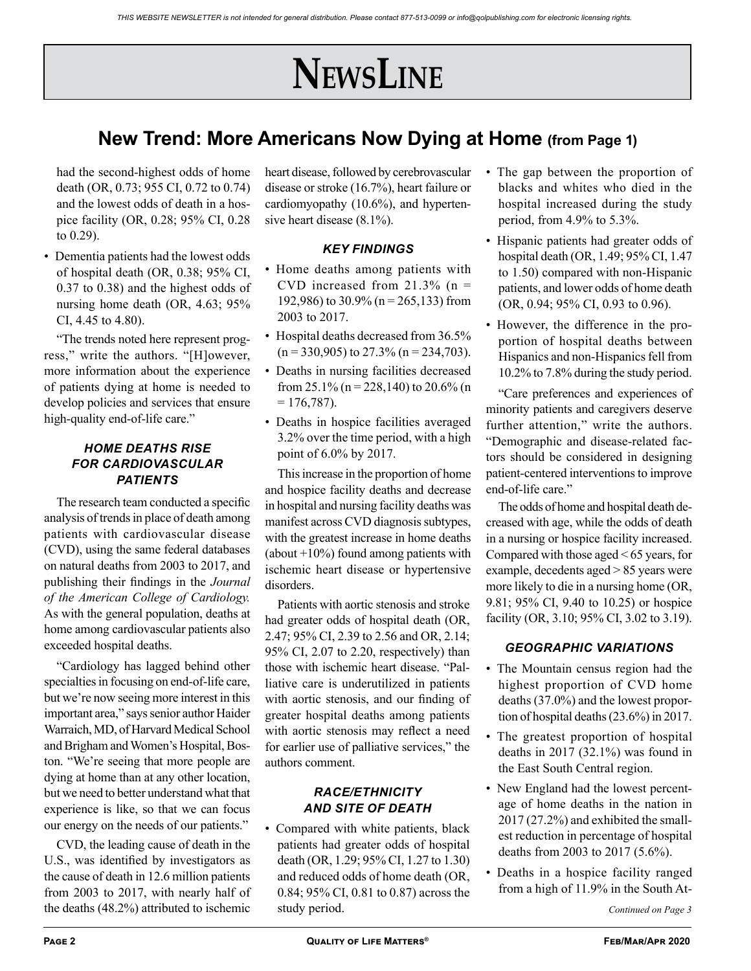# **NewsLine**

## **New Trend: More Americans Now Dying at Home (from Page 1)**

had the second-highest odds of home death (OR, 0.73; 955 CI, 0.72 to 0.74) and the lowest odds of death in a hospice facility (OR, 0.28; 95% CI, 0.28 to 0.29).

• Dementia patients had the lowest odds of hospital death (OR, 0.38; 95% CI, 0.37 to 0.38) and the highest odds of nursing home death (OR, 4.63; 95% CI, 4.45 to 4.80).

"The trends noted here represent progress," write the authors. "[H]owever, more information about the experience of patients dying at home is needed to develop policies and services that ensure high-quality end-of-life care."

### *HOME DEATHS RISE FOR CARDIOVASCULAR PATIENTS*

The research team conducted a specific analysis of trends in place of death among patients with cardiovascular disease (CVD), using the same federal databases on natural deaths from 2003 to 2017, and publishing their findings in the *Journal of the American College of Cardiology.*  As with the general population, deaths at home among cardiovascular patients also exceeded hospital deaths.

"Cardiology has lagged behind other specialties in focusing on end-of-life care, but we're now seeing more interest in this important area," says senior author Haider Warraich, MD, of Harvard Medical School and Brigham and Women's Hospital, Boston. "We're seeing that more people are dying at home than at any other location, but we need to better understand what that experience is like, so that we can focus our energy on the needs of our patients."

CVD, the leading cause of death in the U.S., was identified by investigators as the cause of death in 12.6 million patients from 2003 to 2017, with nearly half of the deaths (48.2%) attributed to ischemic

heart disease, followed by cerebrovascular disease or stroke (16.7%), heart failure or cardiomyopathy (10.6%), and hypertensive heart disease (8.1%).

### *KEY FINDINGS*

- Home deaths among patients with CVD increased from  $21.3\%$  (n = 192,986) to 30.9% (n = 265,133) from 2003 to 2017.
- Hospital deaths decreased from 36.5%  $(n = 330,905)$  to 27.3%  $(n = 234,703)$ .
- Deaths in nursing facilities decreased from 25.1% (n = 228,140) to 20.6% (n  $= 176,787$ ).
- Deaths in hospice facilities averaged 3.2% over the time period, with a high point of 6.0% by 2017.

This increase in the proportion of home and hospice facility deaths and decrease in hospital and nursing facility deaths was manifest across CVD diagnosis subtypes, with the greatest increase in home deaths (about  $+10\%$ ) found among patients with ischemic heart disease or hypertensive disorders.

Patients with aortic stenosis and stroke had greater odds of hospital death (OR, 2.47; 95% CI, 2.39 to 2.56 and OR, 2.14; 95% CI, 2.07 to 2.20, respectively) than those with ischemic heart disease. "Palliative care is underutilized in patients with aortic stenosis, and our finding of greater hospital deaths among patients with aortic stenosis may reflect a need for earlier use of palliative services," the authors comment.

### *RACE/ETHNICITY AND SITE OF DEATH*

Compared with white patients, black patients had greater odds of hospital death (OR, 1.29; 95% CI, 1.27 to 1.30) and reduced odds of home death (OR, 0.84; 95% CI, 0.81 to 0.87) across the study period.

- The gap between the proportion of blacks and whites who died in the hospital increased during the study period, from 4.9% to 5.3%.
- Hispanic patients had greater odds of hospital death (OR, 1.49; 95% CI, 1.47 to 1.50) compared with non-Hispanic patients, and lower odds of home death (OR, 0.94; 95% CI, 0.93 to 0.96).
- However, the difference in the proportion of hospital deaths between Hispanics and non-Hispanics fell from 10.2% to 7.8% during the study period.

"Care preferences and experiences of minority patients and caregivers deserve further attention," write the authors. "Demographic and disease-related factors should be considered in designing patient-centered interventions to improve end-of-life care."

The odds of home and hospital death decreased with age, while the odds of death in a nursing or hospice facility increased. Compared with those aged < 65 years, for example, decedents aged > 85 years were more likely to die in a nursing home (OR, 9.81; 95% CI, 9.40 to 10.25) or hospice facility (OR, 3.10; 95% CI, 3.02 to 3.19).

### *GEOGRAPHIC VARIATIONS*

- The Mountain census region had the highest proportion of CVD home deaths (37.0%) and the lowest proportion of hospital deaths (23.6%) in 2017.
- The greatest proportion of hospital deaths in 2017 (32.1%) was found in the East South Central region.
- New England had the lowest percentage of home deaths in the nation in 2017 (27.2%) and exhibited the smallest reduction in percentage of hospital deaths from 2003 to 2017 (5.6%).
- Deaths in a hospice facility ranged from a high of 11.9% in the South At-

*Continued on Page 3*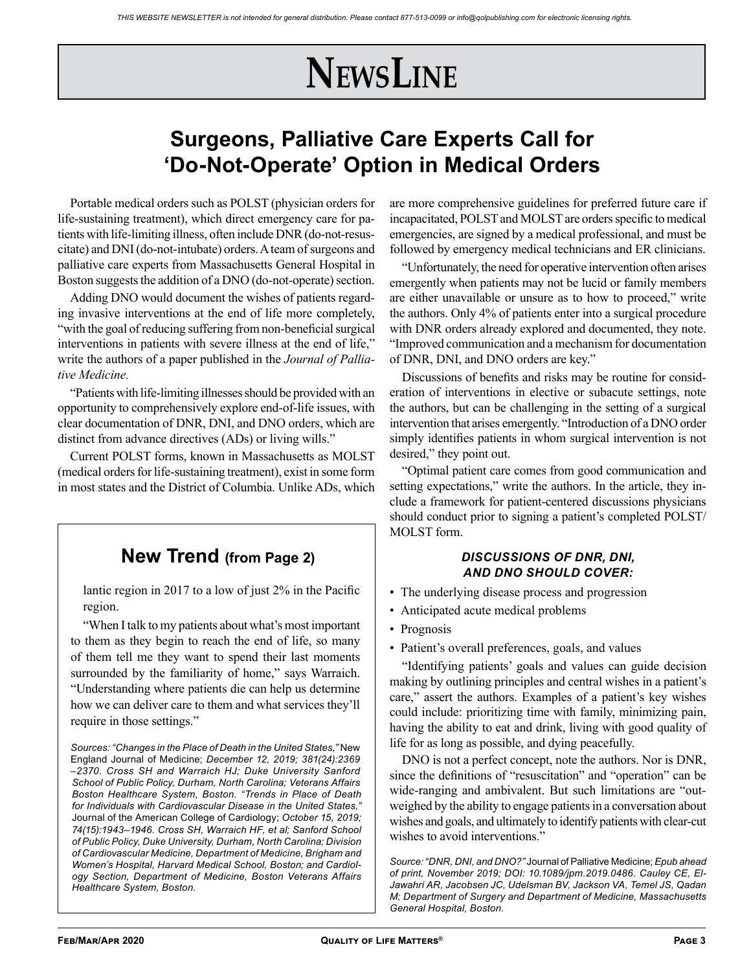# **NewsLine**

## **Surgeons, Palliative Care Experts Call for 'Do-Not-Operate' Option in Medical Orders**

Portable medical orders such as POLST (physician orders for life-sustaining treatment), which direct emergency care for patients with life-limiting illness, often include DNR (do-not-resuscitate) and DNI (do-not-intubate) orders. A team of surgeons and palliative care experts from Massachusetts General Hospital in Boston suggests the addition of a DNO (do-not-operate) section.

Adding DNO would document the wishes of patients regarding invasive interventions at the end of life more completely, "with the goal of reducing suffering from non-beneficial surgical interventions in patients with severe illness at the end of life," write the authors of a paper published in the *Journal of Palliative Medicine.*

"Patients with life-limiting illnesses should be provided with an opportunity to comprehensively explore end-of-life issues, with clear documentation of DNR, DNI, and DNO orders, which are distinct from advance directives (ADs) or living wills."

Current POLST forms, known in Massachusetts as MOLST (medical orders for life-sustaining treatment), exist in some form in most states and the District of Columbia. Unlike ADs, which

## **New Trend (from Page 2)**

lantic region in 2017 to a low of just 2% in the Pacific region.

"When I talk to my patients about what's most important to them as they begin to reach the end of life, so many of them tell me they want to spend their last moments surrounded by the familiarity of home," says Warraich. "Understanding where patients die can help us determine how we can deliver care to them and what services they'll require in those settings."

*Sources: "Changes in the Place of Death in the United States,"* New England Journal of Medicine; *December 12, 2019; 381(24):2369 –2370. Cross SH and Warraich HJ; Duke University Sanford School of Public Policy, Durham, North Carolina; Veterans Affairs Boston Healthcare System, Boston. "Trends in Place of Death for Individuals with Cardiovascular Disease in the United States,"*  Journal of the American College of Cardiology; *October 15, 2019; 74(15):1943–1946. Cross SH, Warraich HF, et al; Sanford School of Public Policy, Duke University, Durham, North Carolina; Division of Cardiovascular Medicine, Department of Medicine, Brigham and Women's Hospital, Harvard Medical School, Boston; and Cardiology Section, Department of Medicine, Boston Veterans Affairs Healthcare System, Boston.*

are more comprehensive guidelines for preferred future care if incapacitated, POLST and MOLST are orders specific to medical emergencies, are signed by a medical professional, and must be followed by emergency medical technicians and ER clinicians.

"Unfortunately, the need for operative intervention often arises emergently when patients may not be lucid or family members are either unavailable or unsure as to how to proceed," write the authors. Only 4% of patients enter into a surgical procedure with DNR orders already explored and documented, they note. "Improved communication and a mechanism for documentation of DNR, DNI, and DNO orders are key."

Discussions of benefits and risks may be routine for consideration of interventions in elective or subacute settings, note the authors, but can be challenging in the setting of a surgical intervention that arises emergently. "Introduction of a DNO order simply identifies patients in whom surgical intervention is not desired," they point out.

"Optimal patient care comes from good communication and setting expectations," write the authors. In the article, they include a framework for patient-centered discussions physicians should conduct prior to signing a patient's completed POLST/ MOLST form.

### *DISCUSSIONS OF DNR, DNI, AND DNO SHOULD COVER:*

- The underlying disease process and progression
- Anticipated acute medical problems
- Prognosis
- Patient's overall preferences, goals, and values

"Identifying patients' goals and values can guide decision making by outlining principles and central wishes in a patient's care," assert the authors. Examples of a patient's key wishes could include: prioritizing time with family, minimizing pain, having the ability to eat and drink, living with good quality of life for as long as possible, and dying peacefully.

DNO is not a perfect concept, note the authors. Nor is DNR, since the definitions of "resuscitation" and "operation" can be wide-ranging and ambivalent. But such limitations are "outweighed by the ability to engage patients in a conversation about wishes and goals, and ultimately to identify patients with clear-cut wishes to avoid interventions."

*Source: "DNR, DNI, and DNO?"* Journal of Palliative Medicine; *Epub ahead of print, November 2019; DOI: 10.1089/jpm.2019.0486. Cauley CE, El-Jawahri AR, Jacobsen JC, Udelsman BV, Jackson VA, Temel JS, Qadan M; Department of Surgery and Department of Medicine, Massachusetts General Hospital, Boston.*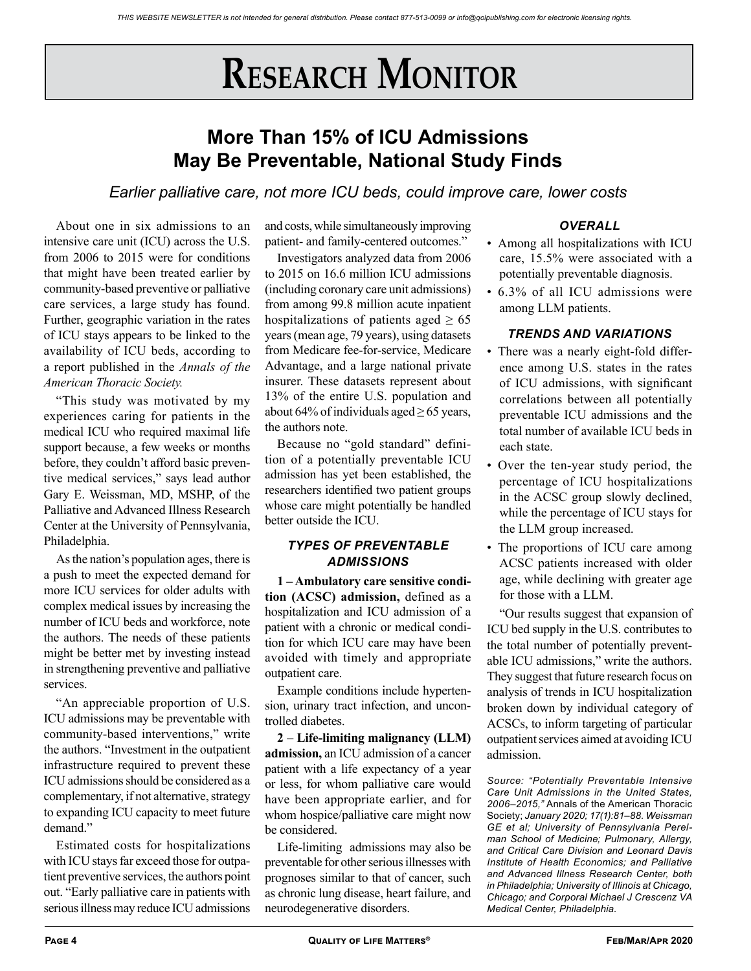# **RESEARCH MONITOR**

## **More Than 15% of ICU Admissions May Be Preventable, National Study Finds**

*Earlier palliative care, not more ICU beds, could improve care, lower costs*

About one in six admissions to an intensive care unit (ICU) across the U.S. from 2006 to 2015 were for conditions that might have been treated earlier by community-based preventive or palliative care services, a large study has found. Further, geographic variation in the rates of ICU stays appears to be linked to the availability of ICU beds, according to a report published in the *Annals of the American Thoracic Society.*

"This study was motivated by my experiences caring for patients in the medical ICU who required maximal life support because, a few weeks or months before, they couldn't afford basic preventive medical services," says lead author Gary E. Weissman, MD, MSHP, of the Palliative and Advanced Illness Research Center at the University of Pennsylvania, Philadelphia.

As the nation's population ages, there is a push to meet the expected demand for more ICU services for older adults with complex medical issues by increasing the number of ICU beds and workforce, note the authors. The needs of these patients might be better met by investing instead in strengthening preventive and palliative services.

"An appreciable proportion of U.S. ICU admissions may be preventable with community-based interventions," write the authors. "Investment in the outpatient infrastructure required to prevent these ICU admissions should be considered as a complementary, if not alternative, strategy to expanding ICU capacity to meet future demand."

Estimated costs for hospitalizations with ICU stays far exceed those for outpatient preventive services, the authors point out. "Early palliative care in patients with serious illness may reduce ICU admissions

and costs, while simultaneously improving patient- and family-centered outcomes."

Investigators analyzed data from 2006 to 2015 on 16.6 million ICU admissions (including coronary care unit admissions) from among 99.8 million acute inpatient hospitalizations of patients aged  $\geq 65$ years (mean age, 79 years), using datasets from Medicare fee-for-service, Medicare Advantage, and a large national private insurer. These datasets represent about 13% of the entire U.S. population and about 64% of individuals aged  $\geq$  65 years, the authors note.

Because no "gold standard" definition of a potentially preventable ICU admission has yet been established, the researchers identified two patient groups whose care might potentially be handled better outside the ICU.

### *TYPES OF PREVENTABLE ADMISSIONS*

**1 – Ambulatory care sensitive condition (ACSC) admission,** defined as a hospitalization and ICU admission of a patient with a chronic or medical condition for which ICU care may have been avoided with timely and appropriate outpatient care.

Example conditions include hypertension, urinary tract infection, and uncontrolled diabetes.

**2 – Life-limiting malignancy (LLM) admission,** an ICU admission of a cancer patient with a life expectancy of a year or less, for whom palliative care would have been appropriate earlier, and for whom hospice/palliative care might now be considered.

Life-limiting admissions may also be preventable for other serious illnesses with prognoses similar to that of cancer, such as chronic lung disease, heart failure, and neurodegenerative disorders.

### *OVERALL*

- Among all hospitalizations with ICU care, 15.5% were associated with a potentially preventable diagnosis.
- 6.3% of all ICU admissions were among LLM patients.

### *TRENDS AND VARIATIONS*

- There was a nearly eight-fold difference among U.S. states in the rates of ICU admissions, with significant correlations between all potentially preventable ICU admissions and the total number of available ICU beds in each state.
- Over the ten-year study period, the percentage of ICU hospitalizations in the ACSC group slowly declined, while the percentage of ICU stays for the LLM group increased.
- The proportions of ICU care among ACSC patients increased with older age, while declining with greater age for those with a LLM.

"Our results suggest that expansion of ICU bed supply in the U.S. contributes to the total number of potentially preventable ICU admissions," write the authors. They suggest that future research focus on analysis of trends in ICU hospitalization broken down by individual category of ACSCs, to inform targeting of particular outpatient services aimed at avoiding ICU admission.

*Source: "Potentially Preventable Intensive Care Unit Admissions in the United States, 2006–2015,"* Annals of the American Thoracic Society; *January 2020; 17(1):81–88. Weissman GE et al; University of Pennsylvania Perelman School of Medicine; Pulmonary, Allergy, and Critical Care Division and Leonard Davis Institute of Health Economics; and Palliative and Advanced Illness Research Center, both in Philadelphia; University of Illinois at Chicago, Chicago; and Corporal Michael J Crescenz VA Medical Center, Philadelphia.*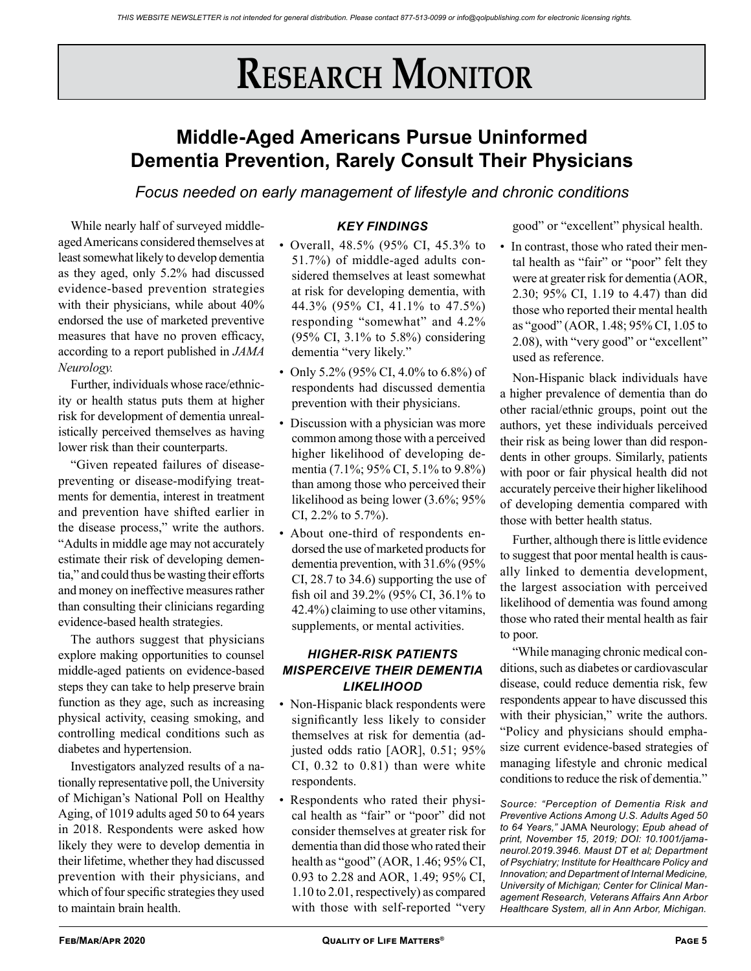# **RESEARCH MONITOR**

## **Middle-Aged Americans Pursue Uninformed Dementia Prevention, Rarely Consult Their Physicians**

*Focus needed on early management of lifestyle and chronic conditions*

While nearly half of surveyed middleaged Americans considered themselves at least somewhat likely to develop dementia as they aged, only 5.2% had discussed evidence-based prevention strategies with their physicians, while about 40% endorsed the use of marketed preventive measures that have no proven efficacy, according to a report published in *JAMA Neurology.*

Further, individuals whose race/ethnicity or health status puts them at higher risk for development of dementia unrealistically perceived themselves as having lower risk than their counterparts.

"Given repeated failures of diseasepreventing or disease-modifying treatments for dementia, interest in treatment and prevention have shifted earlier in the disease process," write the authors. "Adults in middle age may not accurately estimate their risk of developing dementia," and could thus be wasting their efforts and money on ineffective measures rather than consulting their clinicians regarding evidence-based health strategies.

The authors suggest that physicians explore making opportunities to counsel middle-aged patients on evidence-based steps they can take to help preserve brain function as they age, such as increasing physical activity, ceasing smoking, and controlling medical conditions such as diabetes and hypertension.

Investigators analyzed results of a nationally representative poll, the University of Michigan's National Poll on Healthy Aging, of 1019 adults aged 50 to 64 years in 2018. Respondents were asked how likely they were to develop dementia in their lifetime, whether they had discussed prevention with their physicians, and which of four specific strategies they used to maintain brain health.

### *KEY FINDINGS*

- Overall, 48.5% (95% CI, 45.3% to 51.7%) of middle-aged adults considered themselves at least somewhat at risk for developing dementia, with 44.3% (95% CI, 41.1% to 47.5%) responding "somewhat" and 4.2% (95% CI, 3.1% to 5.8%) considering dementia "very likely."
- Only 5.2% (95% CI, 4.0% to 6.8%) of respondents had discussed dementia prevention with their physicians.
- Discussion with a physician was more common among those with a perceived higher likelihood of developing dementia (7.1%; 95% CI, 5.1% to 9.8%) than among those who perceived their likelihood as being lower (3.6%; 95% CI, 2.2% to 5.7%).
- About one-third of respondents endorsed the use of marketed products for dementia prevention, with 31.6% (95% CI, 28.7 to 34.6) supporting the use of fish oil and 39.2% (95% CI, 36.1% to 42.4%) claiming to use other vitamins, supplements, or mental activities.

### *HIGHER-RISK PATIENTS MISPERCEIVE THEIR DEMENTIA LIKELIHOOD*

- Non-Hispanic black respondents were significantly less likely to consider themselves at risk for dementia (adjusted odds ratio [AOR], 0.51; 95% CI, 0.32 to 0.81) than were white respondents.
- Respondents who rated their physical health as "fair" or "poor" did not consider themselves at greater risk for dementia than did those who rated their health as "good" (AOR, 1.46; 95% CI, 0.93 to 2.28 and AOR, 1.49; 95% CI, 1.10 to 2.01, respectively) as compared with those with self-reported "very

good" or "excellent" physical health.

• In contrast, those who rated their mental health as "fair" or "poor" felt they were at greater risk for dementia (AOR, 2.30; 95% CI, 1.19 to 4.47) than did those who reported their mental health as "good" (AOR, 1.48; 95% CI, 1.05 to 2.08), with "very good" or "excellent" used as reference.

Non-Hispanic black individuals have a higher prevalence of dementia than do other racial/ethnic groups, point out the authors, yet these individuals perceived their risk as being lower than did respondents in other groups. Similarly, patients with poor or fair physical health did not accurately perceive their higher likelihood of developing dementia compared with those with better health status.

Further, although there is little evidence to suggest that poor mental health is causally linked to dementia development, the largest association with perceived likelihood of dementia was found among those who rated their mental health as fair to poor.

"While managing chronic medical conditions, such as diabetes or cardiovascular disease, could reduce dementia risk, few respondents appear to have discussed this with their physician," write the authors. "Policy and physicians should emphasize current evidence-based strategies of managing lifestyle and chronic medical conditions to reduce the risk of dementia."

*Source: "Perception of Dementia Risk and Preventive Actions Among U.S. Adults Aged 50 to 64 Years,"* JAMA Neurology; *Epub ahead of print, November 15, 2019; DOI: 10.1001/jamaneurol.2019.3946. Maust DT et al; Department of Psychiatry; Institute for Healthcare Policy and Innovation; and Department of Internal Medicine, University of Michigan; Center for Clinical Management Research, Veterans Affairs Ann Arbor Healthcare System, all in Ann Arbor, Michigan.*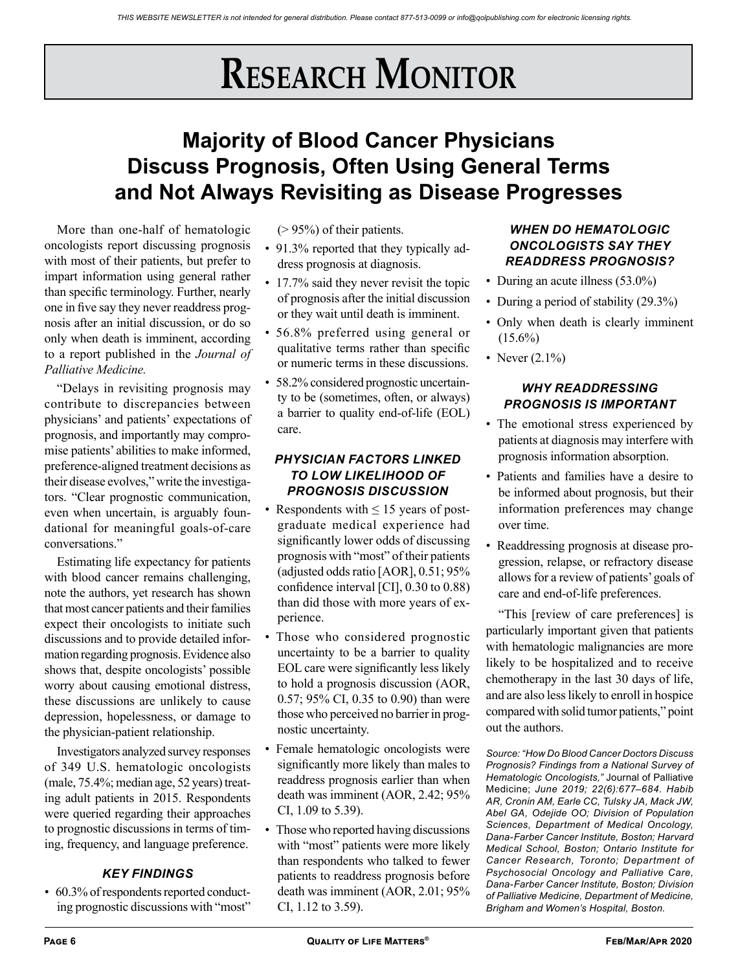# **Research Monitor**

## **Majority of Blood Cancer Physicians Discuss Prognosis, Often Using General Terms and Not Always Revisiting as Disease Progresses**

More than one-half of hematologic oncologists report discussing prognosis with most of their patients, but prefer to impart information using general rather than specific terminology. Further, nearly one in five say they never readdress prognosis after an initial discussion, or do so only when death is imminent, according to a report published in the *Journal of Palliative Medicine.*

"Delays in revisiting prognosis may contribute to discrepancies between physicians' and patients' expectations of prognosis, and importantly may compromise patients' abilities to make informed, preference-aligned treatment decisions as their disease evolves," write the investigators. "Clear prognostic communication, even when uncertain, is arguably foundational for meaningful goals-of-care conversations."

Estimating life expectancy for patients with blood cancer remains challenging, note the authors, yet research has shown that most cancer patients and their families expect their oncologists to initiate such discussions and to provide detailed information regarding prognosis. Evidence also shows that, despite oncologists' possible worry about causing emotional distress, these discussions are unlikely to cause depression, hopelessness, or damage to the physician-patient relationship.

Investigators analyzed survey responses of 349 U.S. hematologic oncologists (male, 75.4%; median age, 52 years) treating adult patients in 2015. Respondents were queried regarding their approaches to prognostic discussions in terms of timing, frequency, and language preference.

### *KEY FINDINGS*

• 60.3% of respondents reported conducting prognostic discussions with "most"  $(> 95\%)$  of their patients.

- 91.3% reported that they typically address prognosis at diagnosis.
- 17.7% said they never revisit the topic of prognosis after the initial discussion or they wait until death is imminent.
- 56.8% preferred using general or qualitative terms rather than specific or numeric terms in these discussions.
- 58.2% considered prognostic uncertainty to be (sometimes, often, or always) a barrier to quality end-of-life (EOL) care.

### *PHYSICIAN FACTORS LINKED TO LOW LIKELIHOOD OF PROGNOSIS DISCUSSION*

- Respondents with  $\leq 15$  years of postgraduate medical experience had significantly lower odds of discussing prognosis with "most" of their patients (adjusted odds ratio [AOR], 0.51; 95% confidence interval [CI], 0.30 to 0.88) than did those with more years of experience.
- Those who considered prognostic uncertainty to be a barrier to quality EOL care were significantly less likely to hold a prognosis discussion (AOR, 0.57; 95% CI, 0.35 to 0.90) than were those who perceived no barrier in prognostic uncertainty.
- Female hematologic oncologists were significantly more likely than males to readdress prognosis earlier than when death was imminent (AOR, 2.42; 95% CI, 1.09 to 5.39).
- Those who reported having discussions with "most" patients were more likely than respondents who talked to fewer patients to readdress prognosis before death was imminent (AOR, 2.01; 95% CI, 1.12 to 3.59).

### *WHEN DO HEMATOLOGIC ONCOLOGISTS SAY THEY READDRESS PROGNOSIS?*

- During an acute illness (53.0%)
- During a period of stability (29.3%)
- Only when death is clearly imminent  $(15.6\%)$
- Never  $(2.1\%)$

### *WHY READDRESSING PROGNOSIS IS IMPORTANT*

- The emotional stress experienced by patients at diagnosis may interfere with prognosis information absorption.
- Patients and families have a desire to be informed about prognosis, but their information preferences may change over time.
- Readdressing prognosis at disease progression, relapse, or refractory disease allows for a review of patients' goals of care and end-of-life preferences.

"This [review of care preferences] is particularly important given that patients with hematologic malignancies are more likely to be hospitalized and to receive chemotherapy in the last 30 days of life, and are also less likely to enroll in hospice compared with solid tumor patients," point out the authors.

*Source: "How Do Blood Cancer Doctors Discuss Prognosis? Findings from a National Survey of Hematologic Oncologists,"* Journal of Palliative Medicine; *June 2019; 22(6):677–684. Habib AR, Cronin AM, Earle CC, Tulsky JA, Mack JW, Abel GA, Odejide OO; Division of Population Sciences, Department of Medical Oncology, Dana-Farber Cancer Institute, Boston; Harvard Medical School, Boston; Ontario Institute for Cancer Research, Toronto; Department of Psychosocial Oncology and Palliative Care, Dana-Farber Cancer Institute, Boston; Division of Palliative Medicine, Department of Medicine, Brigham and Women's Hospital, Boston.*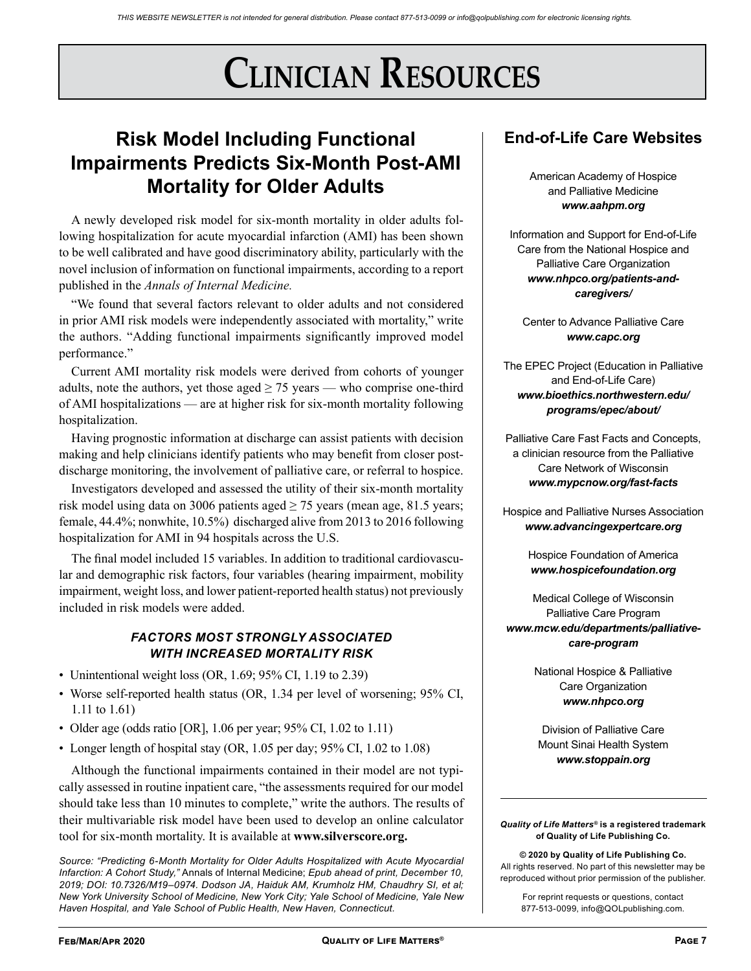# **Clinician Resources**

## **Risk Model Including Functional Impairments Predicts Six-Month Post-AMI Mortality for Older Adults**

A newly developed risk model for six-month mortality in older adults following hospitalization for acute myocardial infarction (AMI) has been shown to be well calibrated and have good discriminatory ability, particularly with the novel inclusion of information on functional impairments, according to a report published in the *Annals of Internal Medicine.*

"We found that several factors relevant to older adults and not considered in prior AMI risk models were independently associated with mortality," write the authors. "Adding functional impairments significantly improved model performance."

Current AMI mortality risk models were derived from cohorts of younger adults, note the authors, yet those aged  $\geq$  75 years — who comprise one-third of AMI hospitalizations — are at higher risk for six-month mortality following hospitalization.

Having prognostic information at discharge can assist patients with decision making and help clinicians identify patients who may benefit from closer postdischarge monitoring, the involvement of palliative care, or referral to hospice.

Investigators developed and assessed the utility of their six-month mortality risk model using data on 3006 patients aged  $\geq$  75 years (mean age, 81.5 years; female, 44.4%; nonwhite, 10.5%) discharged alive from 2013 to 2016 following hospitalization for AMI in 94 hospitals across the U.S.

The final model included 15 variables. In addition to traditional cardiovascular and demographic risk factors, four variables (hearing impairment, mobility impairment, weight loss, and lower patient-reported health status) not previously included in risk models were added.

### *FACTORS MOST STRONGLY ASSOCIATED WITH INCREASED MORTALITY RISK*

- Unintentional weight loss (OR, 1.69; 95% CI, 1.19 to 2.39)
- Worse self-reported health status (OR, 1.34 per level of worsening; 95% CI, 1.11 to 1.61)
- Older age (odds ratio [OR], 1.06 per year; 95% CI, 1.02 to 1.11)
- Longer length of hospital stay (OR, 1.05 per day; 95% CI, 1.02 to 1.08)

Although the functional impairments contained in their model are not typically assessed in routine inpatient care, "the assessments required for our model should take less than 10 minutes to complete," write the authors. The results of their multivariable risk model have been used to develop an online calculator tool for six-month mortality. It is available at **www.silverscore.org.**

*Source: "Predicting 6-Month Mortality for Older Adults Hospitalized with Acute Myocardial Infarction: A Cohort Study,"* Annals of Internal Medicine; *Epub ahead of print, December 10, 2019; DOI: 10.7326/M19–0974. Dodson JA, Haiduk AM, Krumholz HM, Chaudhry SI, et al; New York University School of Medicine, New York City; Yale School of Medicine, Yale New Haven Hospital, and Yale School of Public Health, New Haven, Connecticut.*

## **End-of-Life Care Websites**

American Academy of Hospice and Palliative Medicine *www.aahpm.org*

Information and Support for End-of-Life Care from the National Hospice and Palliative Care Organization *www.nhpco.org/patients-andcaregivers/*

Center to Advance Palliative Care *www.capc.org*

The EPEC Project (Education in Palliative and End-of-Life Care) *www.bioethics.northwestern.edu/ programs/epec/about/*

Palliative Care Fast Facts and Concepts, a clinician resource from the Palliative Care Network of Wisconsin *www.mypcnow.org/fast-facts*

Hospice and Palliative Nurses Association *www.advancingexpertcare.org*

> Hospice Foundation of America *www.hospicefoundation.org*

Medical College of Wisconsin Palliative Care Program *www.mcw.edu/departments/palliativecare-program*

> National Hospice & Palliative Care Organization *www.nhpco.org*

Division of Palliative Care Mount Sinai Health System *www.stoppain.org*

*Quality of Life Matters®* **is a registered trademark of Quality of Life Publishing Co.** 

**© 2020 by Quality of Life Publishing Co.** All rights reserved. No part of this newsletter may be reproduced without prior permission of the publisher.

For reprint requests or questions, contact 877-513-0099, info@QOLpublishing.com.